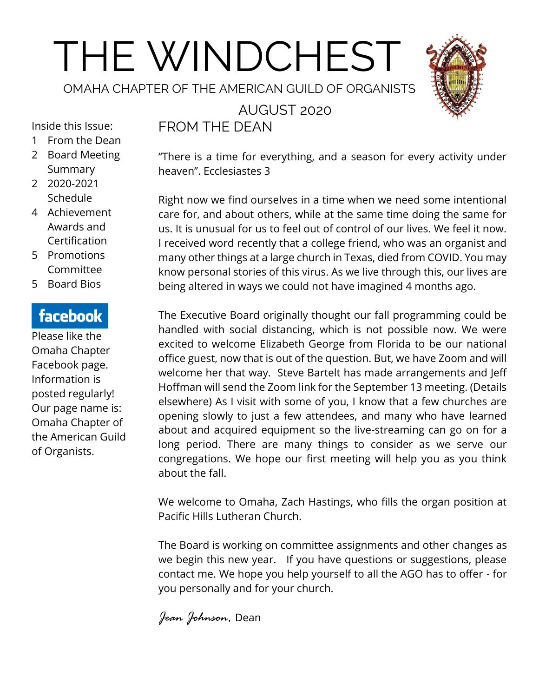# THE WINDCHEST

OMAHA CHAPTER OF THE AMERICAN GUILD OF ORGANISTS



AUGUST 2020 FROM THE DEAN

Inside this Issue:

- 1 From the Dean
- 2 Board Meeting Summary
- 2 2020-2021 Schedule
- 4 Achievement Awards and Certification
- 5 Promotions Committee
- 5 Board Bios

# facebook

Please like the Omaha Chapter Facebook page. Information is posted regularly! Our page name is: Omaha Chapter of the American Guild of Organists.

"There is a time for everything, and a season for every activity under heaven". Ecclesiastes 3

Right now we find ourselves in a time when we need some intentional care for, and about others, while at the same time doing the same for us. It is unusual for us to feel out of control of our lives. We feel it now. I received word recently that a college friend, who was an organist and many other things at a large church in Texas, died from COVID. You may know personal stories of this virus. As we live through this, our lives are being altered in ways we could not have imagined 4 months ago.

The Executive Board originally thought our fall programming could be handled with social distancing, which is not possible now. We were excited to welcome Elizabeth George from Florida to be our national office guest, now that is out of the question. But, we have Zoom and will welcome her that way. Steve Bartelt has made arrangements and Jeff Hoffman will send the Zoom link for the September 13 meeting. (Details elsewhere) As I visit with some of you, I know that a few churches are opening slowly to just a few attendees, and many who have learned about and acquired equipment so the live-streaming can go on for a long period. There are many things to consider as we serve our congregations. We hope our first meeting will help you as you think about the fall.

We welcome to Omaha, Zach Hastings, who fills the organ position at Pacific Hills Lutheran Church.

The Board is working on committee assignments and other changes as we begin this new year. If you have questions or suggestions, please contact me. We hope you help yourself to all the AGO has to offer - for you personally and for your church.

*Jean Johnson,* Dean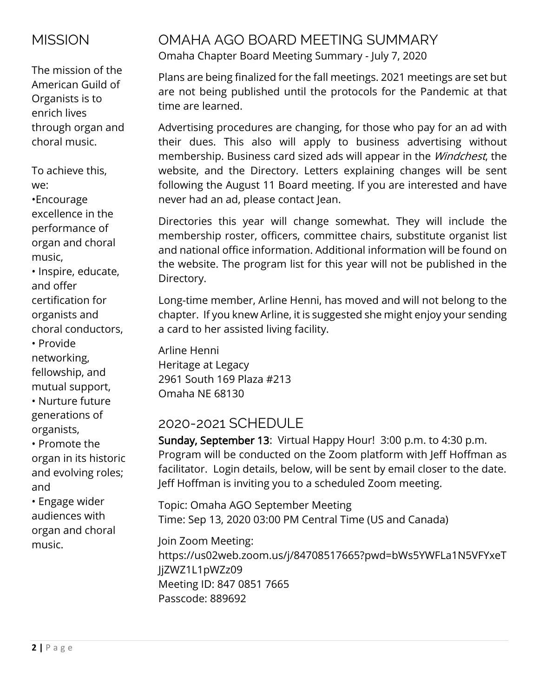# **MISSION**

The mission of the American Guild of Organists is to enrich lives through organ and choral music.

To achieve this, we:

•Encourage excellence in the performance of organ and choral music,

• Inspire, educate, and offer certification for organists and choral conductors,

• Provide networking, fellowship, and mutual support,

• Nurture future generations of organists,

• Promote the organ in its historic and evolving roles; and

• Engage wider audiences with organ and choral music.

## OMAHA AGO BOARD MEETING SUMMARY Omaha Chapter Board Meeting Summary - July 7, 2020

Plans are being finalized for the fall meetings. 2021 meetings are set but are not being published until the protocols for the Pandemic at that time are learned.

Advertising procedures are changing, for those who pay for an ad with their dues. This also will apply to business advertising without membership. Business card sized ads will appear in the *Windchest*, the website, and the Directory. Letters explaining changes will be sent following the August 11 Board meeting. If you are interested and have never had an ad, please contact Jean.

Directories this year will change somewhat. They will include the membership roster, officers, committee chairs, substitute organist list and national office information. Additional information will be found on the website. The program list for this year will not be published in the Directory.

Long-time member, Arline Henni, has moved and will not belong to the chapter. If you knew Arline, it is suggested she might enjoy your sending a card to her assisted living facility.

Arline Henni Heritage at Legacy 2961 South 169 Plaza #213 Omaha NE 68130

# 2020-2021 SCHEDULE

Sunday, September 13: Virtual Happy Hour! 3:00 p.m. to 4:30 p.m. Program will be conducted on the Zoom platform with Jeff Hoffman as facilitator. Login details, below, will be sent by email closer to the date. Jeff Hoffman is inviting you to a scheduled Zoom meeting.

Topic: Omaha AGO September Meeting Time: Sep 13, 2020 03:00 PM Central Time (US and Canada)

Join Zoom Meeting: https://us02web.zoom.us/j/84708517665?pwd=bWs5YWFLa1N5VFYxeT JjZWZ1L1pWZz09 Meeting ID: 847 0851 7665 Passcode: 889692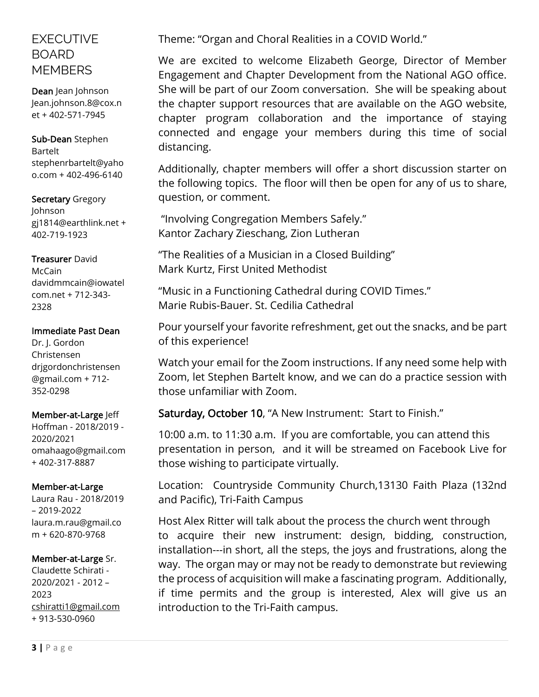## EXECUTIVE BOARD **MEMBERS**

Dean Jean Johnson Jean.johnson.8@cox.n et + 402-571-7945

Sub-Dean Stephen Bartelt stephenrbartelt@yaho o.com + 402-496-6140

Secretary Gregory Johnson gj1814@earthlink.net + 402-719-1923

#### Treasurer David

McCain davidmmcain@iowatel com.net + 712-343- 2328

#### Immediate Past Dean

Dr. J. Gordon Christensen drjgordonchristensen @gmail.com + 712- 352-0298

#### Member-at-Large Jeff

Hoffman - 2018/2019 - 2020/2021 omahaago@gmail.com + 402-317-8887

#### Member-at-Large

Laura Rau - 2018/2019 – 2019-2022 [laura.m.rau@gmail.co](mailto:laura.m.rau@gmail.com) [m](mailto:laura.m.rau@gmail.com) + 620-870-9768

### Member-at-Large Sr.

Claudette Schirati - 2020/2021 - 2012 – 2023 [cshiratti1@gmail.com](mailto:cshiratti1@gmail.com) + 913-530-0960

Theme: "Organ and Choral Realities in a COVID World."

We are excited to welcome Elizabeth George, Director of Member Engagement and Chapter Development from the National AGO office. She will be part of our Zoom conversation. She will be speaking about the chapter support resources that are available on the AGO website, chapter program collaboration and the importance of staying connected and engage your members during this time of social distancing.

Additionally, chapter members will offer a short discussion starter on the following topics. The floor will then be open for any of us to share, question, or comment.

"Involving Congregation Members Safely." Kantor Zachary Zieschang, Zion Lutheran

"The Realities of a Musician in a Closed Building" Mark Kurtz, First United Methodist

"Music in a Functioning Cathedral during COVID Times." Marie Rubis-Bauer. St. Cedilia Cathedral

Pour yourself your favorite refreshment, get out the snacks, and be part of this experience!

Watch your email for the Zoom instructions. If any need some help with Zoom, let Stephen Bartelt know, and we can do a practice session with those unfamiliar with Zoom.

Saturday, October 10, "A New Instrument: Start to Finish."

10:00 a.m. to 11:30 a.m. If you are comfortable, you can attend this presentation in person, and it will be streamed on Facebook Live for those wishing to participate virtually.

Location: Countryside Community Church,13130 Faith Plaza (132nd and Pacific), Tri-Faith Campus

Host Alex Ritter will talk about the process the church went through to acquire their new instrument: design, bidding, construction, installation---in short, all the steps, the joys and frustrations, along the way. The organ may or may not be ready to demonstrate but reviewing the process of acquisition will make a fascinating program. Additionally, if time permits and the group is interested, Alex will give us an introduction to the Tri-Faith campus.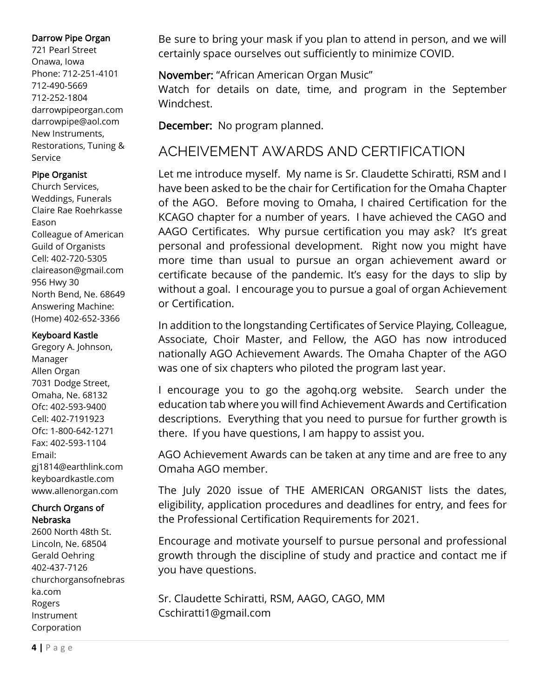#### Darrow Pipe Organ

721 Pearl Street Onawa, Iowa Phone: 712-251-4101 712-490-5669 712-252-1804 darrowpipeorgan.com darrowpipe@aol.com New Instruments, Restorations, Tuning & Service

#### Pipe Organist

Church Services, Weddings, Funerals Claire Rae Roehrkasse Eason Colleague of American Guild of Organists Cell: 402-720-5305 claireason@gmail.com 956 Hwy 30 North Bend, Ne. 68649 Answering Machine: (Home) 402-652-3366

#### Keyboard Kastle

Gregory A. Johnson, Manager Allen Organ 7031 Dodge Street, Omaha, Ne. 68132 Ofc: 402-593-9400 Cell: 402-7191923 Ofc: 1-800-642-1271 Fax: 402-593-1104 Email: gj1814@earthlink.com keyboardkastle.com www.allenorgan.com

## Church Organs of Nebraska

2600 North 48th St. Lincoln, Ne. 68504 Gerald Oehring 402-437-7126 churchorgansofnebras ka.com Rogers Instrument Corporation

Be sure to bring your mask if you plan to attend in person, and we will certainly space ourselves out sufficiently to minimize COVID.

## November: "African American Organ Music"

Watch for details on date, time, and program in the September Windchest.

December: No program planned.

# ACHEIVEMENT AWARDS AND CERTIFICATION

Let me introduce myself. My name is Sr. Claudette Schiratti, RSM and I have been asked to be the chair for Certification for the Omaha Chapter of the AGO. Before moving to Omaha, I chaired Certification for the KCAGO chapter for a number of years. I have achieved the CAGO and AAGO Certificates. Why pursue certification you may ask? It's great personal and professional development. Right now you might have more time than usual to pursue an organ achievement award or certificate because of the pandemic. It's easy for the days to slip by without a goal. I encourage you to pursue a goal of organ Achievement or Certification.

In addition to the longstanding Certificates of Service Playing, Colleague, Associate, Choir Master, and Fellow, the AGO has now introduced nationally AGO Achievement Awards. The Omaha Chapter of the AGO was one of six chapters who piloted the program last year.

I encourage you to go the agohq.org website. Search under the education tab where you will find Achievement Awards and Certification descriptions. Everything that you need to pursue for further growth is there. If you have questions, I am happy to assist you.

AGO Achievement Awards can be taken at any time and are free to any Omaha AGO member.

The July 2020 issue of THE AMERICAN ORGANIST lists the dates, eligibility, application procedures and deadlines for entry, and fees for the Professional Certification Requirements for 2021.

Encourage and motivate yourself to pursue personal and professional growth through the discipline of study and practice and contact me if you have questions.

Sr. Claudette Schiratti, RSM, AAGO, CAGO, MM Cschiratti1@gmail.com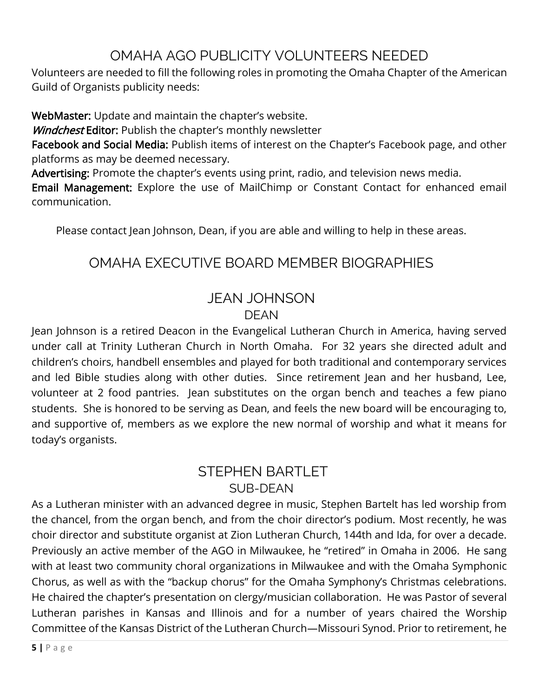# OMAHA AGO PUBLICITY VOLUNTEERS NEEDED

Volunteers are needed to fill the following roles in promoting the Omaha Chapter of the American Guild of Organists publicity needs:

WebMaster: Update and maintain the chapter's website.

Windchest Editor: Publish the chapter's monthly newsletter

Facebook and Social Media: Publish items of interest on the Chapter's Facebook page, and other platforms as may be deemed necessary.

Advertising: Promote the chapter's events using print, radio, and television news media.

Email Management: Explore the use of MailChimp or Constant Contact for enhanced email communication.

Please contact Jean Johnson, Dean, if you are able and willing to help in these areas.

# OMAHA EXECUTIVE BOARD MEMBER BIOGRAPHIES

## JEAN JOHNSON DEAN

Jean Johnson is a retired Deacon in the Evangelical Lutheran Church in America, having served under call at Trinity Lutheran Church in North Omaha. For 32 years she directed adult and children's choirs, handbell ensembles and played for both traditional and contemporary services and led Bible studies along with other duties. Since retirement Jean and her husband, Lee, volunteer at 2 food pantries. Jean substitutes on the organ bench and teaches a few piano students. She is honored to be serving as Dean, and feels the new board will be encouraging to, and supportive of, members as we explore the new normal of worship and what it means for today's organists.

## STEPHEN BARTLET SUB-DEAN

As a Lutheran minister with an advanced degree in music, Stephen Bartelt has led worship from the chancel, from the organ bench, and from the choir director's podium. Most recently, he was choir director and substitute organist at Zion Lutheran Church, 144th and Ida, for over a decade. Previously an active member of the AGO in Milwaukee, he "retired" in Omaha in 2006. He sang with at least two community choral organizations in Milwaukee and with the Omaha Symphonic Chorus, as well as with the "backup chorus" for the Omaha Symphony's Christmas celebrations. He chaired the chapter's presentation on clergy/musician collaboration. He was Pastor of several Lutheran parishes in Kansas and Illinois and for a number of years chaired the Worship Committee of the Kansas District of the Lutheran Church—Missouri Synod. Prior to retirement, he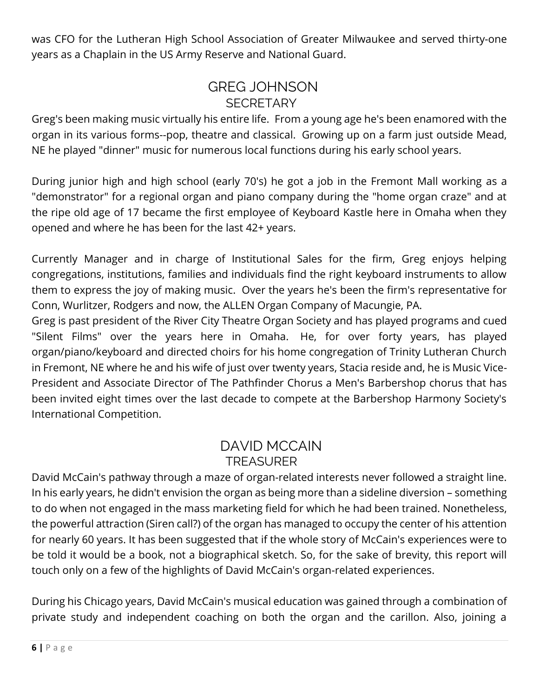was CFO for the Lutheran High School Association of Greater Milwaukee and served thirty-one years as a Chaplain in the US Army Reserve and National Guard.

# GREG JOHNSON **SECRETARY**

Greg's been making music virtually his entire life. From a young age he's been enamored with the organ in its various forms--pop, theatre and classical. Growing up on a farm just outside Mead, NE he played "dinner" music for numerous local functions during his early school years.

During junior high and high school (early 70's) he got a job in the Fremont Mall working as a "demonstrator" for a regional organ and piano company during the "home organ craze" and at the ripe old age of 17 became the first employee of Keyboard Kastle here in Omaha when they opened and where he has been for the last 42+ years.

Currently Manager and in charge of Institutional Sales for the firm, Greg enjoys helping congregations, institutions, families and individuals find the right keyboard instruments to allow them to express the joy of making music. Over the years he's been the firm's representative for Conn, Wurlitzer, Rodgers and now, the ALLEN Organ Company of Macungie, PA.

Greg is past president of the River City Theatre Organ Society and has played programs and cued "Silent Films" over the years here in Omaha. He, for over forty years, has played organ/piano/keyboard and directed choirs for his home congregation of Trinity Lutheran Church in Fremont, NE where he and his wife of just over twenty years, Stacia reside and, he is Music Vice-President and Associate Director of The Pathfinder Chorus a Men's Barbershop chorus that has been invited eight times over the last decade to compete at the Barbershop Harmony Society's International Competition.

## DAVID MCCAIN TREASURER

David McCain's pathway through a maze of organ-related interests never followed a straight line. In his early years, he didn't envision the organ as being more than a sideline diversion – something to do when not engaged in the mass marketing field for which he had been trained. Nonetheless, the powerful attraction (Siren call?) of the organ has managed to occupy the center of his attention for nearly 60 years. It has been suggested that if the whole story of McCain's experiences were to be told it would be a book, not a biographical sketch. So, for the sake of brevity, this report will touch only on a few of the highlights of David McCain's organ-related experiences.

During his Chicago years, David McCain's musical education was gained through a combination of private study and independent coaching on both the organ and the carillon. Also, joining a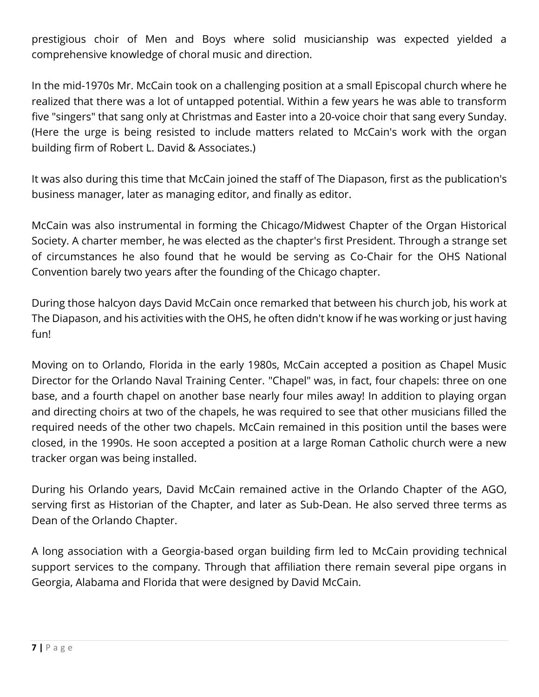prestigious choir of Men and Boys where solid musicianship was expected yielded a comprehensive knowledge of choral music and direction.

In the mid-1970s Mr. McCain took on a challenging position at a small Episcopal church where he realized that there was a lot of untapped potential. Within a few years he was able to transform five "singers" that sang only at Christmas and Easter into a 20-voice choir that sang every Sunday. (Here the urge is being resisted to include matters related to McCain's work with the organ building firm of Robert L. David & Associates.)

It was also during this time that McCain joined the staff of The Diapason, first as the publication's business manager, later as managing editor, and finally as editor.

McCain was also instrumental in forming the Chicago/Midwest Chapter of the Organ Historical Society. A charter member, he was elected as the chapter's first President. Through a strange set of circumstances he also found that he would be serving as Co-Chair for the OHS National Convention barely two years after the founding of the Chicago chapter.

During those halcyon days David McCain once remarked that between his church job, his work at The Diapason, and his activities with the OHS, he often didn't know if he was working or just having fun!

Moving on to Orlando, Florida in the early 1980s, McCain accepted a position as Chapel Music Director for the Orlando Naval Training Center. "Chapel" was, in fact, four chapels: three on one base, and a fourth chapel on another base nearly four miles away! In addition to playing organ and directing choirs at two of the chapels, he was required to see that other musicians filled the required needs of the other two chapels. McCain remained in this position until the bases were closed, in the 1990s. He soon accepted a position at a large Roman Catholic church were a new tracker organ was being installed.

During his Orlando years, David McCain remained active in the Orlando Chapter of the AGO, serving first as Historian of the Chapter, and later as Sub-Dean. He also served three terms as Dean of the Orlando Chapter.

A long association with a Georgia-based organ building firm led to McCain providing technical support services to the company. Through that affiliation there remain several pipe organs in Georgia, Alabama and Florida that were designed by David McCain.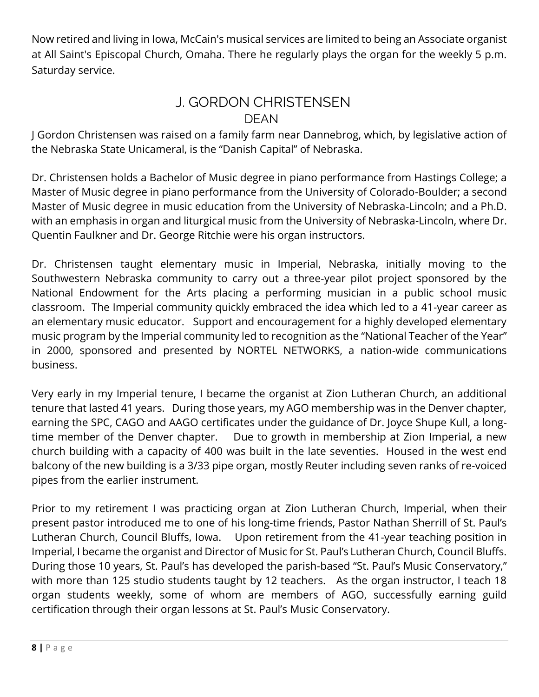Now retired and living in Iowa, McCain's musical services are limited to being an Associate organist at All Saint's Episcopal Church, Omaha. There he regularly plays the organ for the weekly 5 p.m. Saturday service.

## J. GORDON CHRISTENSEN DEAN

J Gordon Christensen was raised on a family farm near Dannebrog, which, by legislative action of the Nebraska State Unicameral, is the "Danish Capital" of Nebraska.

Dr. Christensen holds a Bachelor of Music degree in piano performance from Hastings College; a Master of Music degree in piano performance from the University of Colorado-Boulder; a second Master of Music degree in music education from the University of Nebraska-Lincoln; and a Ph.D. with an emphasis in organ and liturgical music from the University of Nebraska-Lincoln, where Dr. Quentin Faulkner and Dr. George Ritchie were his organ instructors.

Dr. Christensen taught elementary music in Imperial, Nebraska, initially moving to the Southwestern Nebraska community to carry out a three-year pilot project sponsored by the National Endowment for the Arts placing a performing musician in a public school music classroom. The Imperial community quickly embraced the idea which led to a 41-year career as an elementary music educator. Support and encouragement for a highly developed elementary music program by the Imperial community led to recognition as the "National Teacher of the Year" in 2000, sponsored and presented by NORTEL NETWORKS, a nation-wide communications business.

Very early in my Imperial tenure, I became the organist at Zion Lutheran Church, an additional tenure that lasted 41 years. During those years, my AGO membership was in the Denver chapter, earning the SPC, CAGO and AAGO certificates under the guidance of Dr. Joyce Shupe Kull, a longtime member of the Denver chapter. Due to growth in membership at Zion Imperial, a new church building with a capacity of 400 was built in the late seventies. Housed in the west end balcony of the new building is a 3/33 pipe organ, mostly Reuter including seven ranks of re-voiced pipes from the earlier instrument.

Prior to my retirement I was practicing organ at Zion Lutheran Church, Imperial, when their present pastor introduced me to one of his long-time friends, Pastor Nathan Sherrill of St. Paul's Lutheran Church, Council Bluffs, Iowa. Upon retirement from the 41-year teaching position in Imperial, I became the organist and Director of Music for St. Paul's Lutheran Church, Council Bluffs. During those 10 years, St. Paul's has developed the parish-based "St. Paul's Music Conservatory," with more than 125 studio students taught by 12 teachers. As the organ instructor, I teach 18 organ students weekly, some of whom are members of AGO, successfully earning guild certification through their organ lessons at St. Paul's Music Conservatory.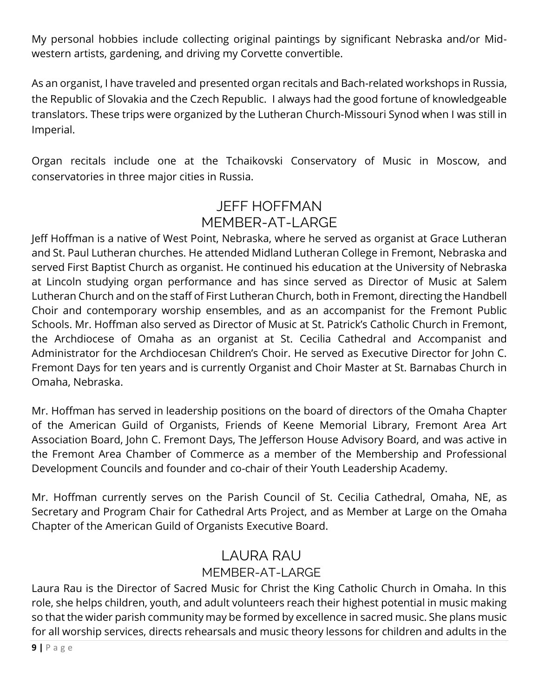My personal hobbies include collecting original paintings by significant Nebraska and/or Midwestern artists, gardening, and driving my Corvette convertible.

As an organist, I have traveled and presented organ recitals and Bach-related workshops in Russia, the Republic of Slovakia and the Czech Republic. I always had the good fortune of knowledgeable translators. These trips were organized by the Lutheran Church-Missouri Synod when I was still in Imperial.

Organ recitals include one at the Tchaikovski Conservatory of Music in Moscow, and conservatories in three major cities in Russia.

# JEFF HOFFMAN MEMBER-AT-LARGE

Jeff Hoffman is a native of West Point, Nebraska, where he served as organist at Grace Lutheran and St. Paul Lutheran churches. He attended Midland Lutheran College in Fremont, Nebraska and served First Baptist Church as organist. He continued his education at the University of Nebraska at Lincoln studying organ performance and has since served as Director of Music at Salem Lutheran Church and on the staff of First Lutheran Church, both in Fremont, directing the Handbell Choir and contemporary worship ensembles, and as an accompanist for the Fremont Public Schools. Mr. Hoffman also served as Director of Music at St. Patrick's Catholic Church in Fremont, the Archdiocese of Omaha as an organist at St. Cecilia Cathedral and Accompanist and Administrator for the Archdiocesan Children's Choir. He served as Executive Director for John C. Fremont Days for ten years and is currently Organist and Choir Master at St. Barnabas Church in Omaha, Nebraska.

Mr. Hoffman has served in leadership positions on the board of directors of the Omaha Chapter of the American Guild of Organists, Friends of Keene Memorial Library, Fremont Area Art Association Board, John C. Fremont Days, The Jefferson House Advisory Board, and was active in the Fremont Area Chamber of Commerce as a member of the Membership and Professional Development Councils and founder and co-chair of their Youth Leadership Academy.

Mr. Hoffman currently serves on the Parish Council of St. Cecilia Cathedral, Omaha, NE, as Secretary and Program Chair for Cathedral Arts Project, and as Member at Large on the Omaha Chapter of the American Guild of Organists Executive Board.

# LAURA RAU

## MEMBER-AT-LARGE

Laura Rau is the Director of Sacred Music for Christ the King Catholic Church in Omaha. In this role, she helps children, youth, and adult volunteers reach their highest potential in music making so that the wider parish community may be formed by excellence in sacred music. She plans music for all worship services, directs rehearsals and music theory lessons for children and adults in the